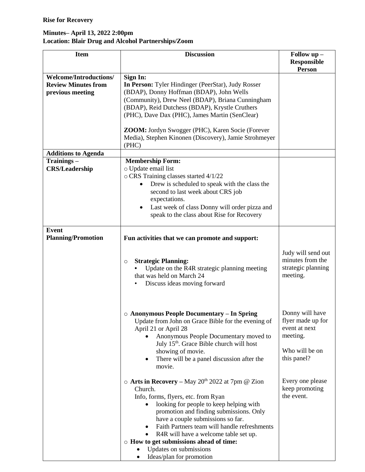## **Minutes– April 13, 2022 2:00pm Location: Blair Drug and Alcohol Partnerships/Zoom**

| <b>Item</b>                                                                     | <b>Discussion</b>                                                                                                                                                                                                                                                                                                                                                                                                                         | Follow up -<br><b>Responsible</b>                                                                  |
|---------------------------------------------------------------------------------|-------------------------------------------------------------------------------------------------------------------------------------------------------------------------------------------------------------------------------------------------------------------------------------------------------------------------------------------------------------------------------------------------------------------------------------------|----------------------------------------------------------------------------------------------------|
|                                                                                 |                                                                                                                                                                                                                                                                                                                                                                                                                                           | <b>Person</b>                                                                                      |
| <b>Welcome/Introductions/</b><br><b>Review Minutes from</b><br>previous meeting | Sign In:<br>In Person: Tyler Hindinger (PeerStar), Judy Rosser<br>(BDAP), Donny Hoffman (BDAP), John Wells<br>(Community), Drew Neel (BDAP), Briana Cunningham<br>(BDAP), Reid Dutchess (BDAP), Krystle Cruthers<br>(PHC), Dave Dax (PHC), James Martin (SenClear)<br>ZOOM: Jordyn Swogger (PHC), Karen Socie (Forever<br>Media), Stephen Kinonen (Discovery), Jamie Strohmeyer                                                           |                                                                                                    |
|                                                                                 | (PHC)                                                                                                                                                                                                                                                                                                                                                                                                                                     |                                                                                                    |
| <b>Additions to Agenda</b><br>Trainings-<br><b>CRS/Leadership</b>               | <b>Membership Form:</b><br>o Update email list<br>o CRS Training classes started 4/1/22<br>Drew is scheduled to speak with the class the<br>٠<br>second to last week about CRS job<br>expectations.<br>Last week of class Donny will order pizza and<br>$\bullet$<br>speak to the class about Rise for Recovery                                                                                                                           |                                                                                                    |
| <b>Event</b><br><b>Planning/Promotion</b>                                       | Fun activities that we can promote and support:                                                                                                                                                                                                                                                                                                                                                                                           |                                                                                                    |
|                                                                                 | <b>Strategic Planning:</b><br>$\circ$<br>Update on the R4R strategic planning meeting<br>that was held on March 24<br>Discuss ideas moving forward                                                                                                                                                                                                                                                                                        | Judy will send out<br>minutes from the<br>strategic planning<br>meeting.                           |
|                                                                                 | $\circ$ Anonymous People Documentary – In Spring<br>Update from John on Grace Bible for the evening of<br>April 21 or April 28<br>Anonymous People Documentary moved to<br>July 15 <sup>th</sup> . Grace Bible church will host<br>showing of movie.<br>There will be a panel discussion after the<br>$\bullet$<br>movie.                                                                                                                 | Donny will have<br>flyer made up for<br>event at next<br>meeting.<br>Who will be on<br>this panel? |
|                                                                                 | $\circ$ Arts in Recovery – May 20 <sup>th</sup> 2022 at 7pm @ Zion<br>Church.<br>Info, forms, flyers, etc. from Ryan<br>looking for people to keep helping with<br>promotion and finding submissions. Only<br>have a couple submissions so far.<br>Faith Partners team will handle refreshments<br>R4R will have a welcome table set up.<br>○ How to get submissions ahead of time:<br>Updates on submissions<br>Ideas/plan for promotion | Every one please<br>keep promoting<br>the event.                                                   |